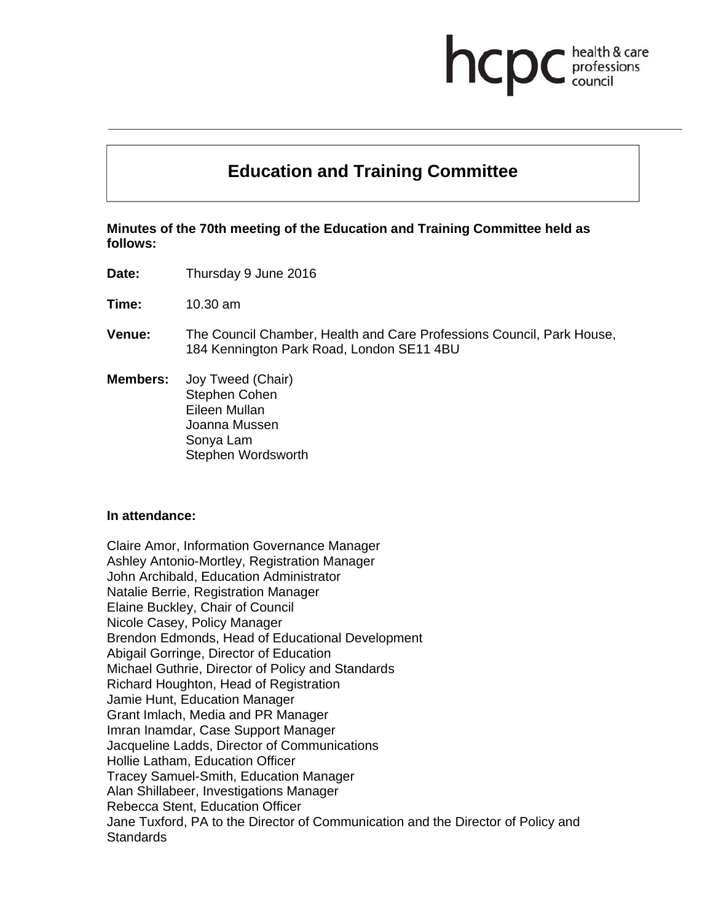# **Education and Training Committee**

health & care

professions<br>council

hcp

**Minutes of the 70th meeting of the Education and Training Committee held as follows:** 

**Date:** Thursday 9 June 2016

**Time:** 10.30 am

- **Venue:** The Council Chamber, Health and Care Professions Council, Park House, 184 Kennington Park Road, London SE11 4BU
- **Members:** Joy Tweed (Chair) Stephen Cohen Eileen Mullan Joanna Mussen Sonya Lam Stephen Wordsworth

#### **In attendance:**

Claire Amor, Information Governance Manager Ashley Antonio-Mortley, Registration Manager John Archibald, Education Administrator Natalie Berrie, Registration Manager Elaine Buckley, Chair of Council Nicole Casey, Policy Manager Brendon Edmonds, Head of Educational Development Abigail Gorringe, Director of Education Michael Guthrie, Director of Policy and Standards Richard Houghton, Head of Registration Jamie Hunt, Education Manager Grant Imlach, Media and PR Manager Imran Inamdar, Case Support Manager Jacqueline Ladds, Director of Communications Hollie Latham, Education Officer Tracey Samuel-Smith, Education Manager Alan Shillabeer, Investigations Manager Rebecca Stent, Education Officer Jane Tuxford, PA to the Director of Communication and the Director of Policy and **Standards**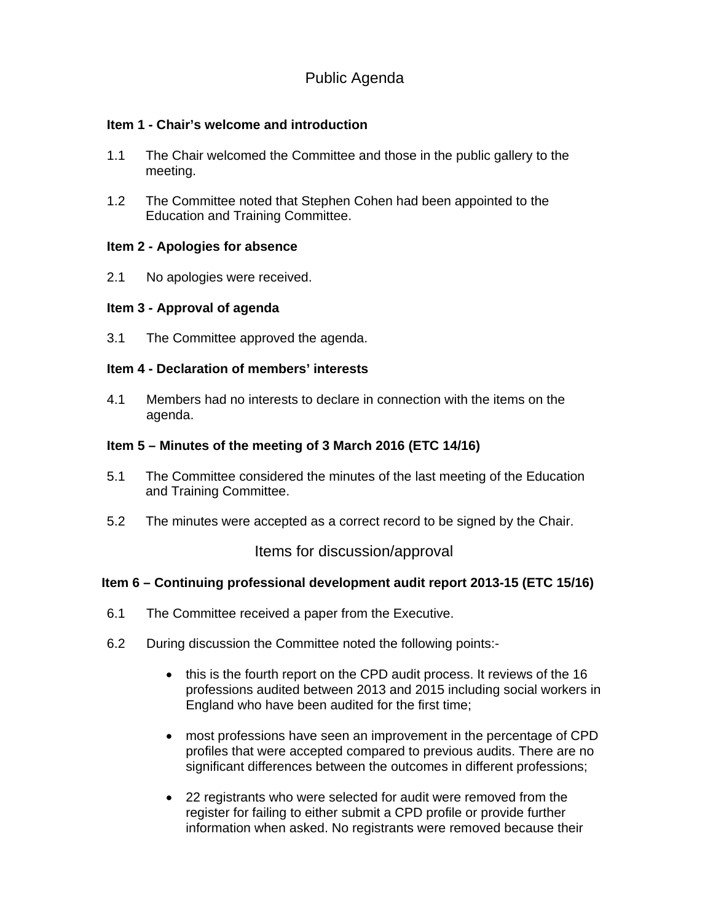# Public Agenda

# **Item 1 - Chair's welcome and introduction**

- 1.1 The Chair welcomed the Committee and those in the public gallery to the meeting.
- 1.2 The Committee noted that Stephen Cohen had been appointed to the Education and Training Committee.

## **Item 2 - Apologies for absence**

2.1 No apologies were received.

# **Item 3 - Approval of agenda**

3.1 The Committee approved the agenda.

# **Item 4 - Declaration of members' interests**

4.1 Members had no interests to declare in connection with the items on the agenda.

# **Item 5 – Minutes of the meeting of 3 March 2016 (ETC 14/16)**

- 5.1 The Committee considered the minutes of the last meeting of the Education and Training Committee.
- 5.2 The minutes were accepted as a correct record to be signed by the Chair.

Items for discussion/approval

## **Item 6 – Continuing professional development audit report 2013-15 (ETC 15/16)**

- 6.1 The Committee received a paper from the Executive.
- 6.2 During discussion the Committee noted the following points:-
	- this is the fourth report on the CPD audit process. It reviews of the 16 professions audited between 2013 and 2015 including social workers in England who have been audited for the first time;
	- most professions have seen an improvement in the percentage of CPD profiles that were accepted compared to previous audits. There are no significant differences between the outcomes in different professions;
	- 22 registrants who were selected for audit were removed from the register for failing to either submit a CPD profile or provide further information when asked. No registrants were removed because their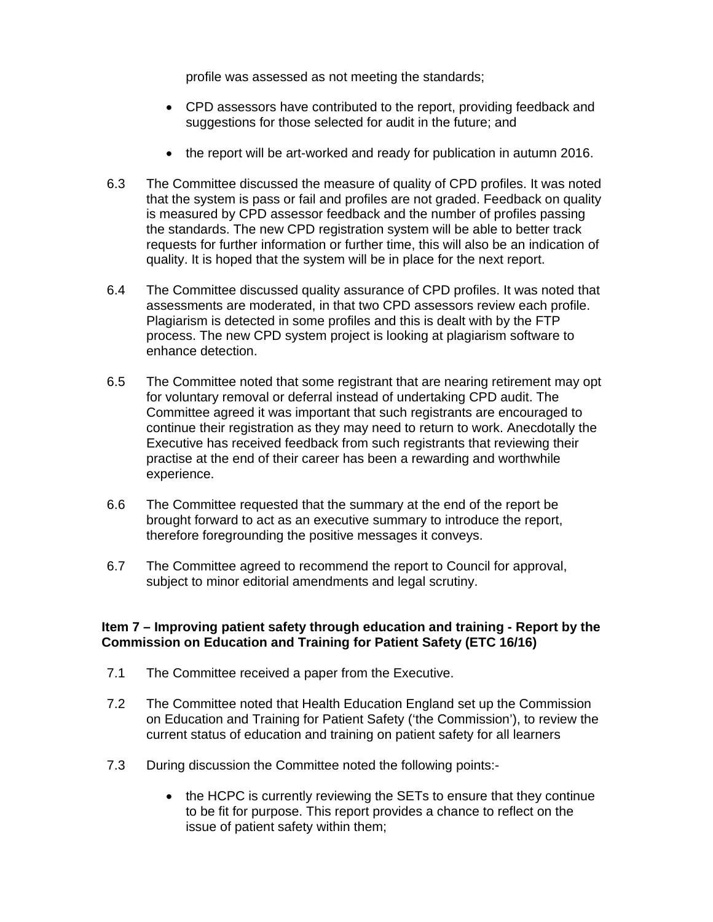profile was assessed as not meeting the standards;

- CPD assessors have contributed to the report, providing feedback and suggestions for those selected for audit in the future; and
- the report will be art-worked and ready for publication in autumn 2016.
- 6.3 The Committee discussed the measure of quality of CPD profiles. It was noted that the system is pass or fail and profiles are not graded. Feedback on quality is measured by CPD assessor feedback and the number of profiles passing the standards. The new CPD registration system will be able to better track requests for further information or further time, this will also be an indication of quality. It is hoped that the system will be in place for the next report.
- 6.4 The Committee discussed quality assurance of CPD profiles. It was noted that assessments are moderated, in that two CPD assessors review each profile. Plagiarism is detected in some profiles and this is dealt with by the FTP process. The new CPD system project is looking at plagiarism software to enhance detection.
- 6.5 The Committee noted that some registrant that are nearing retirement may opt for voluntary removal or deferral instead of undertaking CPD audit. The Committee agreed it was important that such registrants are encouraged to continue their registration as they may need to return to work. Anecdotally the Executive has received feedback from such registrants that reviewing their practise at the end of their career has been a rewarding and worthwhile experience.
- 6.6 The Committee requested that the summary at the end of the report be brought forward to act as an executive summary to introduce the report, therefore foregrounding the positive messages it conveys.
- 6.7 The Committee agreed to recommend the report to Council for approval, subject to minor editorial amendments and legal scrutiny.

## **Item 7 – Improving patient safety through education and training - Report by the Commission on Education and Training for Patient Safety (ETC 16/16)**

- 7.1 The Committee received a paper from the Executive.
- 7.2 The Committee noted that Health Education England set up the Commission on Education and Training for Patient Safety ('the Commission'), to review the current status of education and training on patient safety for all learners
- 7.3 During discussion the Committee noted the following points:-
	- the HCPC is currently reviewing the SETs to ensure that they continue to be fit for purpose. This report provides a chance to reflect on the issue of patient safety within them;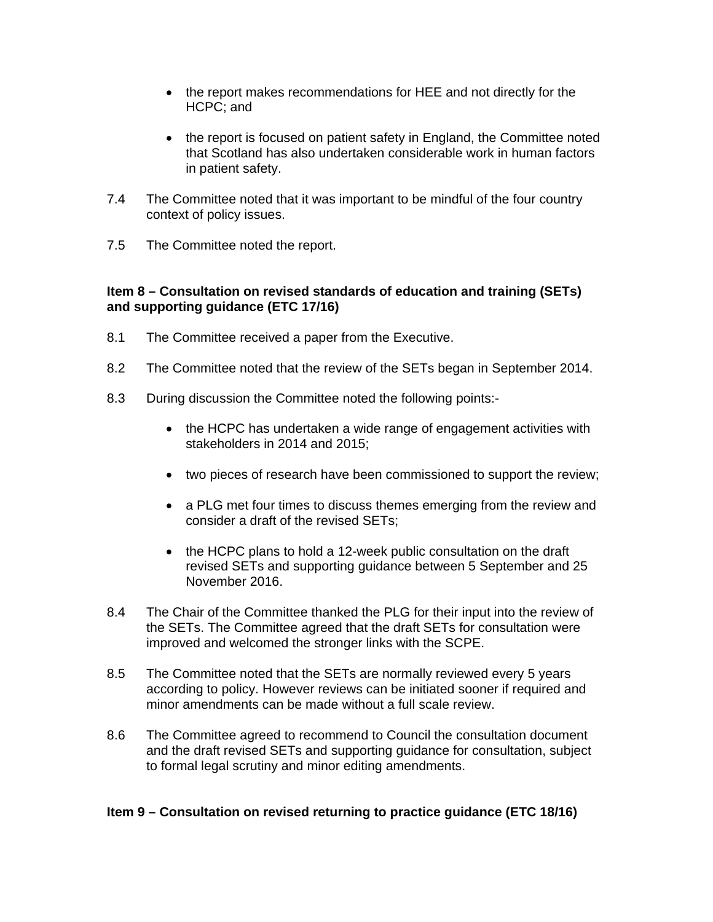- the report makes recommendations for HEE and not directly for the HCPC; and
- the report is focused on patient safety in England, the Committee noted that Scotland has also undertaken considerable work in human factors in patient safety.
- 7.4 The Committee noted that it was important to be mindful of the four country context of policy issues.
- 7.5 The Committee noted the report.

# **Item 8 – Consultation on revised standards of education and training (SETs) and supporting guidance (ETC 17/16)**

- 8.1 The Committee received a paper from the Executive.
- 8.2 The Committee noted that the review of the SETs began in September 2014.
- 8.3 During discussion the Committee noted the following points:-
	- the HCPC has undertaken a wide range of engagement activities with stakeholders in 2014 and 2015;
	- two pieces of research have been commissioned to support the review;
	- a PLG met four times to discuss themes emerging from the review and consider a draft of the revised SETs;
	- the HCPC plans to hold a 12-week public consultation on the draft revised SETs and supporting guidance between 5 September and 25 November 2016.
- 8.4 The Chair of the Committee thanked the PLG for their input into the review of the SETs. The Committee agreed that the draft SETs for consultation were improved and welcomed the stronger links with the SCPE.
- 8.5 The Committee noted that the SETs are normally reviewed every 5 years according to policy. However reviews can be initiated sooner if required and minor amendments can be made without a full scale review.
- 8.6 The Committee agreed to recommend to Council the consultation document and the draft revised SETs and supporting guidance for consultation, subject to formal legal scrutiny and minor editing amendments.

# **Item 9 – Consultation on revised returning to practice guidance (ETC 18/16)**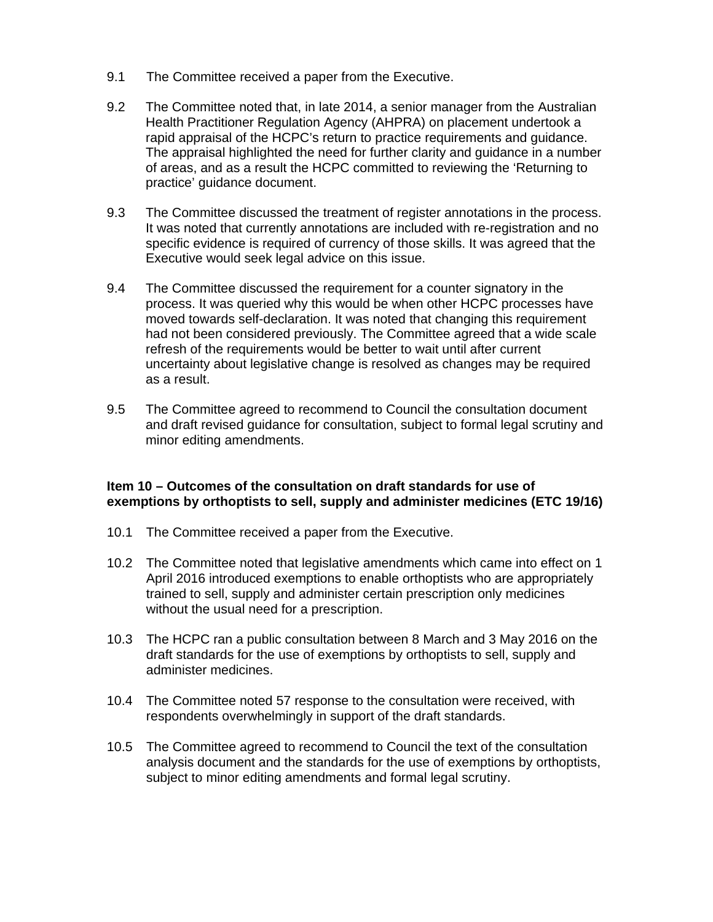- 9.1 The Committee received a paper from the Executive.
- 9.2 The Committee noted that, in late 2014, a senior manager from the Australian Health Practitioner Regulation Agency (AHPRA) on placement undertook a rapid appraisal of the HCPC's return to practice requirements and guidance. The appraisal highlighted the need for further clarity and guidance in a number of areas, and as a result the HCPC committed to reviewing the 'Returning to practice' guidance document.
- 9.3 The Committee discussed the treatment of register annotations in the process. It was noted that currently annotations are included with re-registration and no specific evidence is required of currency of those skills. It was agreed that the Executive would seek legal advice on this issue.
- 9.4 The Committee discussed the requirement for a counter signatory in the process. It was queried why this would be when other HCPC processes have moved towards self-declaration. It was noted that changing this requirement had not been considered previously. The Committee agreed that a wide scale refresh of the requirements would be better to wait until after current uncertainty about legislative change is resolved as changes may be required as a result.
- 9.5 The Committee agreed to recommend to Council the consultation document and draft revised guidance for consultation, subject to formal legal scrutiny and minor editing amendments.

# **Item 10 – Outcomes of the consultation on draft standards for use of exemptions by orthoptists to sell, supply and administer medicines (ETC 19/16)**

- 10.1 The Committee received a paper from the Executive.
- 10.2 The Committee noted that legislative amendments which came into effect on 1 April 2016 introduced exemptions to enable orthoptists who are appropriately trained to sell, supply and administer certain prescription only medicines without the usual need for a prescription.
- 10.3 The HCPC ran a public consultation between 8 March and 3 May 2016 on the draft standards for the use of exemptions by orthoptists to sell, supply and administer medicines.
- 10.4 The Committee noted 57 response to the consultation were received, with respondents overwhelmingly in support of the draft standards.
- 10.5 The Committee agreed to recommend to Council the text of the consultation analysis document and the standards for the use of exemptions by orthoptists, subject to minor editing amendments and formal legal scrutiny.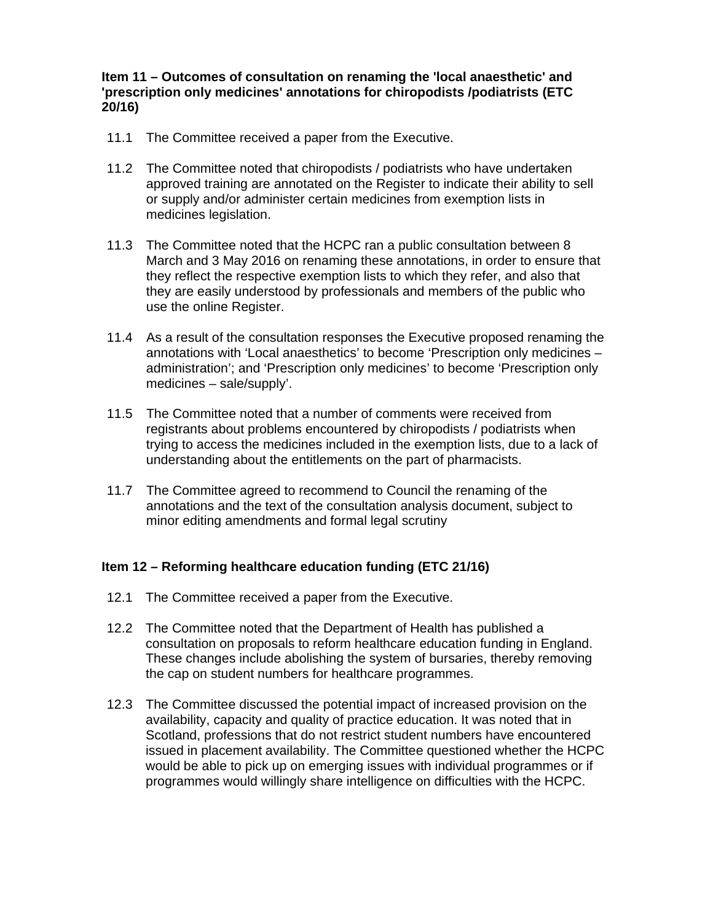# **Item 11 – Outcomes of consultation on renaming the 'local anaesthetic' and 'prescription only medicines' annotations for chiropodists /podiatrists (ETC 20/16)**

- 11.1 The Committee received a paper from the Executive.
- 11.2 The Committee noted that chiropodists / podiatrists who have undertaken approved training are annotated on the Register to indicate their ability to sell or supply and/or administer certain medicines from exemption lists in medicines legislation.
- 11.3 The Committee noted that the HCPC ran a public consultation between 8 March and 3 May 2016 on renaming these annotations, in order to ensure that they reflect the respective exemption lists to which they refer, and also that they are easily understood by professionals and members of the public who use the online Register.
- 11.4 As a result of the consultation responses the Executive proposed renaming the annotations with 'Local anaesthetics' to become 'Prescription only medicines – administration'; and 'Prescription only medicines' to become 'Prescription only medicines – sale/supply'.
- 11.5 The Committee noted that a number of comments were received from registrants about problems encountered by chiropodists / podiatrists when trying to access the medicines included in the exemption lists, due to a lack of understanding about the entitlements on the part of pharmacists.
- 11.7 The Committee agreed to recommend to Council the renaming of the annotations and the text of the consultation analysis document, subject to minor editing amendments and formal legal scrutiny

# **Item 12 – Reforming healthcare education funding (ETC 21/16)**

- 12.1 The Committee received a paper from the Executive.
- 12.2 The Committee noted that the Department of Health has published a consultation on proposals to reform healthcare education funding in England. These changes include abolishing the system of bursaries, thereby removing the cap on student numbers for healthcare programmes.
- 12.3 The Committee discussed the potential impact of increased provision on the availability, capacity and quality of practice education. It was noted that in Scotland, professions that do not restrict student numbers have encountered issued in placement availability. The Committee questioned whether the HCPC would be able to pick up on emerging issues with individual programmes or if programmes would willingly share intelligence on difficulties with the HCPC.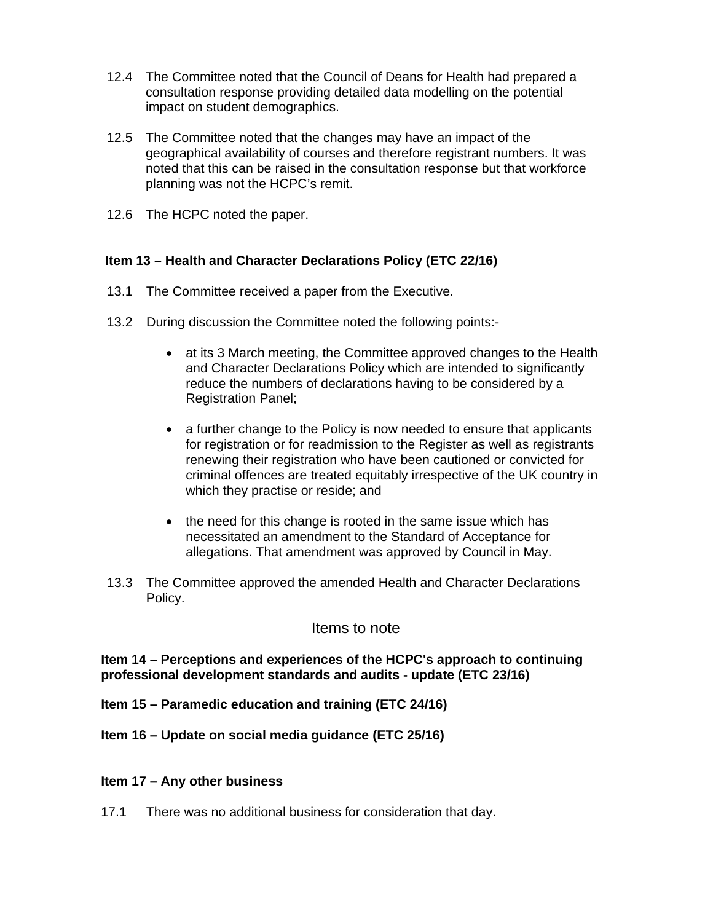- 12.4 The Committee noted that the Council of Deans for Health had prepared a consultation response providing detailed data modelling on the potential impact on student demographics.
- 12.5 The Committee noted that the changes may have an impact of the geographical availability of courses and therefore registrant numbers. It was noted that this can be raised in the consultation response but that workforce planning was not the HCPC's remit.
- 12.6 The HCPC noted the paper.

## **Item 13 – Health and Character Declarations Policy (ETC 22/16)**

- 13.1 The Committee received a paper from the Executive.
- 13.2 During discussion the Committee noted the following points:
	- at its 3 March meeting, the Committee approved changes to the Health and Character Declarations Policy which are intended to significantly reduce the numbers of declarations having to be considered by a Registration Panel;
	- a further change to the Policy is now needed to ensure that applicants for registration or for readmission to the Register as well as registrants renewing their registration who have been cautioned or convicted for criminal offences are treated equitably irrespective of the UK country in which they practise or reside; and
	- the need for this change is rooted in the same issue which has necessitated an amendment to the Standard of Acceptance for allegations. That amendment was approved by Council in May.
- 13.3 The Committee approved the amended Health and Character Declarations Policy.

## Items to note

## **Item 14 – Perceptions and experiences of the HCPC's approach to continuing professional development standards and audits - update (ETC 23/16)**

- **Item 15 Paramedic education and training (ETC 24/16)**
- **Item 16 Update on social media guidance (ETC 25/16)**

#### **Item 17 – Any other business**

17.1 There was no additional business for consideration that day.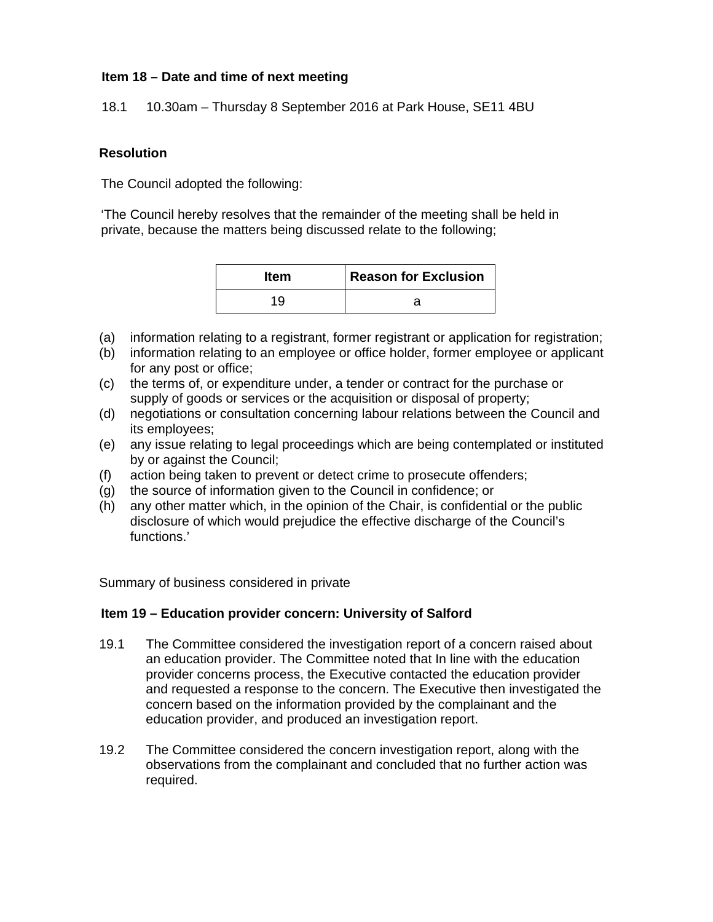# **Item 18 – Date and time of next meeting**

18.1 10.30am – Thursday 8 September 2016 at Park House, SE11 4BU

#### **Resolution**

The Council adopted the following:

'The Council hereby resolves that the remainder of the meeting shall be held in private, because the matters being discussed relate to the following;

| <b>Item</b> | <b>Reason for Exclusion</b> |
|-------------|-----------------------------|
| 19          |                             |

- (a) information relating to a registrant, former registrant or application for registration;
- (b) information relating to an employee or office holder, former employee or applicant for any post or office;
- (c) the terms of, or expenditure under, a tender or contract for the purchase or supply of goods or services or the acquisition or disposal of property;
- (d) negotiations or consultation concerning labour relations between the Council and its employees;
- (e) any issue relating to legal proceedings which are being contemplated or instituted by or against the Council;
- (f) action being taken to prevent or detect crime to prosecute offenders;
- (g) the source of information given to the Council in confidence; or
- (h) any other matter which, in the opinion of the Chair, is confidential or the public disclosure of which would prejudice the effective discharge of the Council's functions.'

Summary of business considered in private

## **Item 19 – Education provider concern: University of Salford**

- 19.1 The Committee considered the investigation report of a concern raised about an education provider. The Committee noted that In line with the education provider concerns process, the Executive contacted the education provider and requested a response to the concern. The Executive then investigated the concern based on the information provided by the complainant and the education provider, and produced an investigation report.
- 19.2 The Committee considered the concern investigation report, along with the observations from the complainant and concluded that no further action was required.